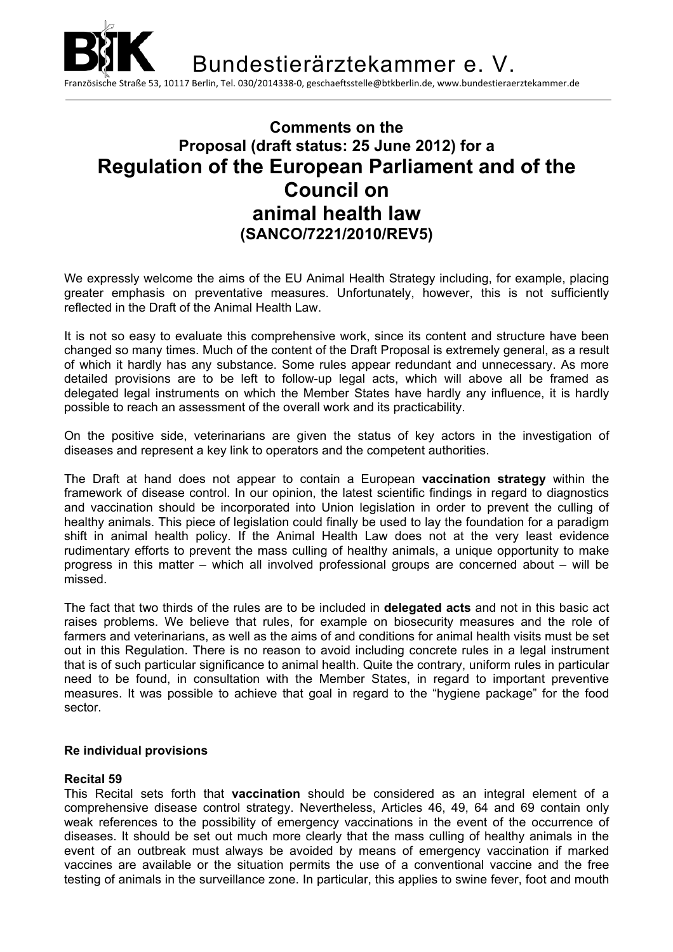

# **Comments on the Proposal (draft status: 25 June 2012) for a Regulation of the European Parliament and of the Council on animal health law (SANCO/7221/2010/REV5)**

We expressly welcome the aims of the EU Animal Health Strategy including, for example, placing greater emphasis on preventative measures. Unfortunately, however, this is not sufficiently reflected in the Draft of the Animal Health Law.

It is not so easy to evaluate this comprehensive work, since its content and structure have been changed so many times. Much of the content of the Draft Proposal is extremely general, as a result of which it hardly has any substance. Some rules appear redundant and unnecessary. As more detailed provisions are to be left to follow-up legal acts, which will above all be framed as delegated legal instruments on which the Member States have hardly any influence, it is hardly possible to reach an assessment of the overall work and its practicability.

On the positive side, veterinarians are given the status of key actors in the investigation of diseases and represent a key link to operators and the competent authorities.

The Draft at hand does not appear to contain a European **vaccination strategy** within the framework of disease control. In our opinion, the latest scientific findings in regard to diagnostics and vaccination should be incorporated into Union legislation in order to prevent the culling of healthy animals. This piece of legislation could finally be used to lay the foundation for a paradigm shift in animal health policy. If the Animal Health Law does not at the very least evidence rudimentary efforts to prevent the mass culling of healthy animals, a unique opportunity to make progress in this matter – which all involved professional groups are concerned about – will be missed.

The fact that two thirds of the rules are to be included in **delegated acts** and not in this basic act raises problems. We believe that rules, for example on biosecurity measures and the role of farmers and veterinarians, as well as the aims of and conditions for animal health visits must be set out in this Regulation. There is no reason to avoid including concrete rules in a legal instrument that is of such particular significance to animal health. Quite the contrary, uniform rules in particular need to be found, in consultation with the Member States, in regard to important preventive measures. It was possible to achieve that goal in regard to the "hygiene package" for the food sector.

### **Re individual provisions**

### **Recital 59**

This Recital sets forth that **vaccination** should be considered as an integral element of a comprehensive disease control strategy. Nevertheless, Articles 46, 49, 64 and 69 contain only weak references to the possibility of emergency vaccinations in the event of the occurrence of diseases. It should be set out much more clearly that the mass culling of healthy animals in the event of an outbreak must always be avoided by means of emergency vaccination if marked vaccines are available or the situation permits the use of a conventional vaccine and the free testing of animals in the surveillance zone. In particular, this applies to swine fever, foot and mouth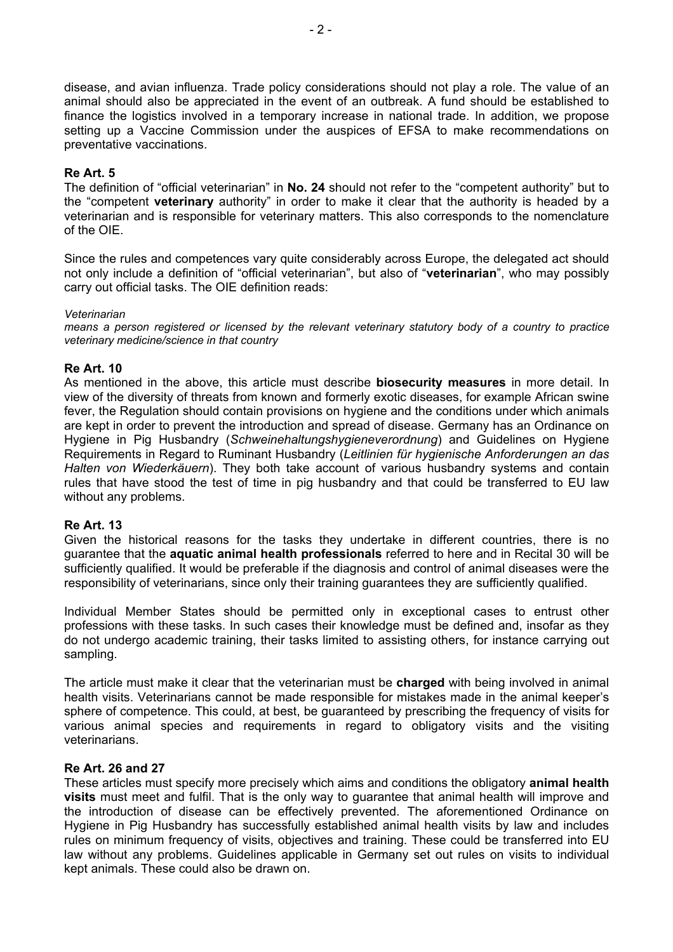disease, and avian influenza. Trade policy considerations should not play a role. The value of an animal should also be appreciated in the event of an outbreak. A fund should be established to finance the logistics involved in a temporary increase in national trade. In addition, we propose setting up a Vaccine Commission under the auspices of EFSA to make recommendations on preventative vaccinations.

## **Re Art. 5**

The definition of "official veterinarian" in **No. 24** should not refer to the "competent authority" but to the "competent **veterinary** authority" in order to make it clear that the authority is headed by a veterinarian and is responsible for veterinary matters. This also corresponds to the nomenclature of the OIE.

Since the rules and competences vary quite considerably across Europe, the delegated act should not only include a definition of "official veterinarian", but also of "**veterinarian**", who may possibly carry out official tasks. The OIE definition reads:

#### *Veterinarian*

*means a person registered or licensed by the relevant veterinary statutory body of a country to practice veterinary medicine/science in that country* 

## **Re Art. 10**

As mentioned in the above, this article must describe **biosecurity measures** in more detail. In view of the diversity of threats from known and formerly exotic diseases, for example African swine fever, the Regulation should contain provisions on hygiene and the conditions under which animals are kept in order to prevent the introduction and spread of disease. Germany has an Ordinance on Hygiene in Pig Husbandry (*Schweinehaltungshygieneverordnung*) and Guidelines on Hygiene Requirements in Regard to Ruminant Husbandry (*Leitlinien für hygienische Anforderungen an das Halten von Wiederkäuern*). They both take account of various husbandry systems and contain rules that have stood the test of time in pig husbandry and that could be transferred to EU law without any problems.

### **Re Art. 13**

Given the historical reasons for the tasks they undertake in different countries, there is no guarantee that the **aquatic animal health professionals** referred to here and in Recital 30 will be sufficiently qualified. It would be preferable if the diagnosis and control of animal diseases were the responsibility of veterinarians, since only their training guarantees they are sufficiently qualified.

Individual Member States should be permitted only in exceptional cases to entrust other professions with these tasks. In such cases their knowledge must be defined and, insofar as they do not undergo academic training, their tasks limited to assisting others, for instance carrying out sampling.

The article must make it clear that the veterinarian must be **charged** with being involved in animal health visits. Veterinarians cannot be made responsible for mistakes made in the animal keeper's sphere of competence. This could, at best, be guaranteed by prescribing the frequency of visits for various animal species and requirements in regard to obligatory visits and the visiting veterinarians.

### **Re Art. 26 and 27**

These articles must specify more precisely which aims and conditions the obligatory **animal health visits** must meet and fulfil. That is the only way to guarantee that animal health will improve and the introduction of disease can be effectively prevented. The aforementioned Ordinance on Hygiene in Pig Husbandry has successfully established animal health visits by law and includes rules on minimum frequency of visits, objectives and training. These could be transferred into EU law without any problems. Guidelines applicable in Germany set out rules on visits to individual kept animals. These could also be drawn on.